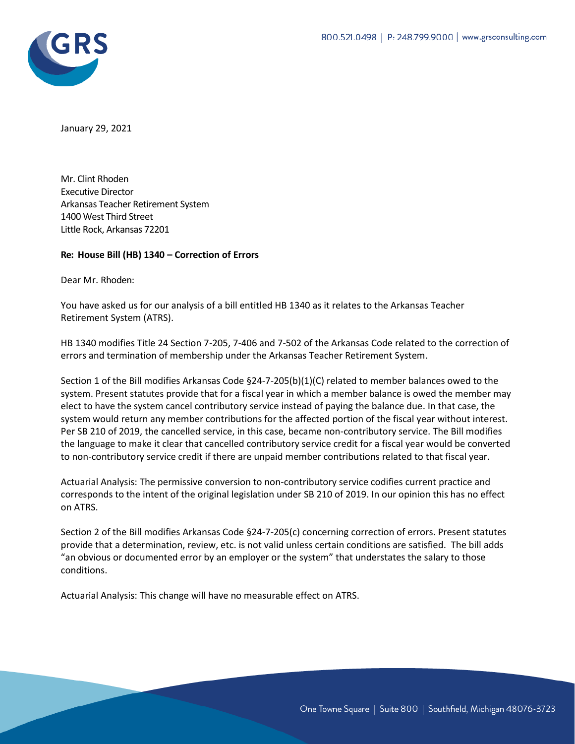

January 29, 2021

Mr. Clint Rhoden Executive Director Arkansas Teacher Retirement System 1400 West Third Street Little Rock, Arkansas 72201

## **Re: House Bill (HB) 1340 – Correction of Errors**

Dear Mr. Rhoden:

You have asked us for our analysis of a bill entitled HB 1340 as it relates to the Arkansas Teacher Retirement System (ATRS).

HB 1340 modifies Title 24 Section 7-205, 7-406 and 7-502 of the Arkansas Code related to the correction of errors and termination of membership under the Arkansas Teacher Retirement System.

Section 1 of the Bill modifies Arkansas Code §24-7-205(b)(1)(C) related to member balances owed to the system. Present statutes provide that for a fiscal year in which a member balance is owed the member may elect to have the system cancel contributory service instead of paying the balance due. In that case, the system would return any member contributions for the affected portion of the fiscal year without interest. Per SB 210 of 2019, the cancelled service, in this case, became non-contributory service. The Bill modifies the language to make it clear that cancelled contributory service credit for a fiscal year would be converted to non-contributory service credit if there are unpaid member contributions related to that fiscal year.

Actuarial Analysis: The permissive conversion to non-contributory service codifies current practice and corresponds to the intent of the original legislation under SB 210 of 2019. In our opinion this has no effect on ATRS.

Section 2 of the Bill modifies Arkansas Code §24-7-205(c) concerning correction of errors. Present statutes provide that a determination, review, etc. is not valid unless certain conditions are satisfied. The bill adds "an obvious or documented error by an employer or the system" that understates the salary to those conditions.

Actuarial Analysis: This change will have no measurable effect on ATRS.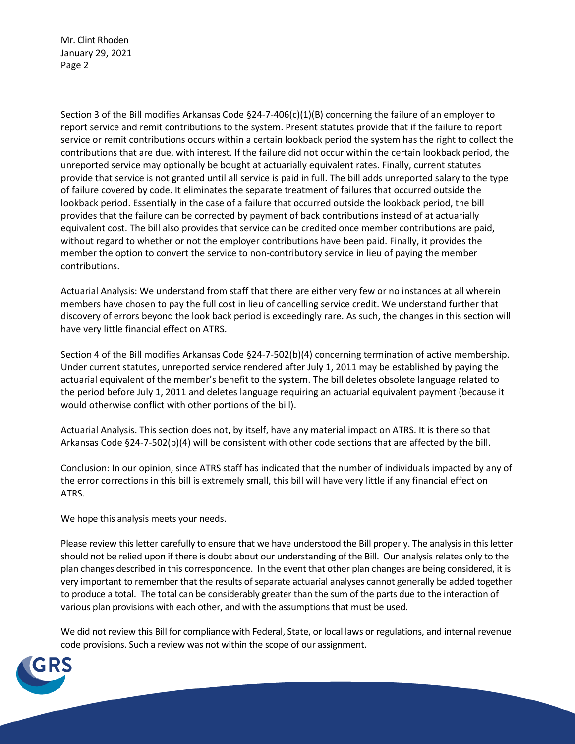Mr. Clint Rhoden January 29, 2021 Page 2

Section 3 of the Bill modifies Arkansas Code §24-7-406(c)(1)(B) concerning the failure of an employer to report service and remit contributions to the system. Present statutes provide that if the failure to report service or remit contributions occurs within a certain lookback period the system has the right to collect the contributions that are due, with interest. If the failure did not occur within the certain lookback period, the unreported service may optionally be bought at actuarially equivalent rates. Finally, current statutes provide that service is not granted until all service is paid in full. The bill adds unreported salary to the type of failure covered by code. It eliminates the separate treatment of failures that occurred outside the lookback period. Essentially in the case of a failure that occurred outside the lookback period, the bill provides that the failure can be corrected by payment of back contributions instead of at actuarially equivalent cost. The bill also provides that service can be credited once member contributions are paid, without regard to whether or not the employer contributions have been paid. Finally, it provides the member the option to convert the service to non-contributory service in lieu of paying the member contributions.

Actuarial Analysis: We understand from staff that there are either very few or no instances at all wherein members have chosen to pay the full cost in lieu of cancelling service credit. We understand further that discovery of errors beyond the look back period is exceedingly rare. As such, the changes in this section will have very little financial effect on ATRS.

Section 4 of the Bill modifies Arkansas Code §24-7-502(b)(4) concerning termination of active membership. Under current statutes, unreported service rendered after July 1, 2011 may be established by paying the actuarial equivalent of the member's benefit to the system. The bill deletes obsolete language related to the period before July 1, 2011 and deletes language requiring an actuarial equivalent payment (because it would otherwise conflict with other portions of the bill).

Actuarial Analysis. This section does not, by itself, have any material impact on ATRS. It is there so that Arkansas Code §24-7-502(b)(4) will be consistent with other code sections that are affected by the bill.

Conclusion: In our opinion, since ATRS staff has indicated that the number of individuals impacted by any of the error corrections in this bill is extremely small, this bill will have very little if any financial effect on ATRS.

We hope this analysis meets your needs.

Please review this letter carefully to ensure that we have understood the Bill properly. The analysis in this letter should not be relied upon if there is doubt about our understanding of the Bill. Our analysis relates only to the plan changes described in this correspondence. In the event that other plan changes are being considered, it is very important to remember that the results of separate actuarial analyses cannot generally be added together to produce a total. The total can be considerably greater than the sum of the parts due to the interaction of various plan provisions with each other, and with the assumptions that must be used.

We did not review this Bill for compliance with Federal, State, or local laws or regulations, and internal revenue code provisions. Such a review was not within the scope of our assignment.